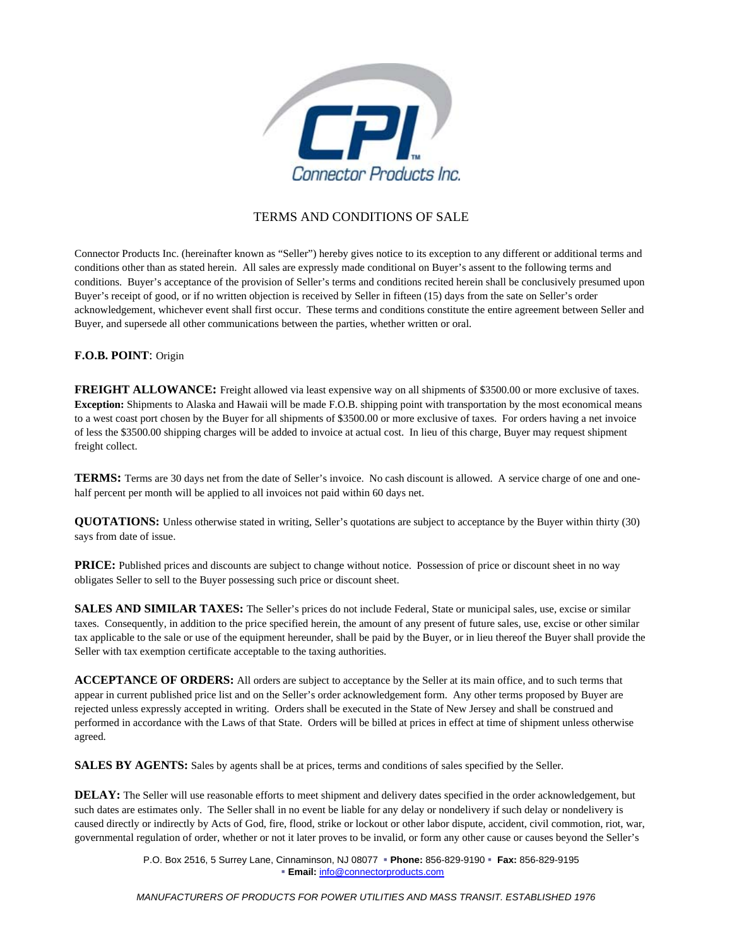

## TERMS AND CONDITIONS OF SALE

Connector Products Inc. (hereinafter known as "Seller") hereby gives notice to its exception to any different or additional terms and conditions other than as stated herein. All sales are expressly made conditional on Buyer's assent to the following terms and conditions. Buyer's acceptance of the provision of Seller's terms and conditions recited herein shall be conclusively presumed upon Buyer's receipt of good, or if no written objection is received by Seller in fifteen (15) days from the sate on Seller's order acknowledgement, whichever event shall first occur. These terms and conditions constitute the entire agreement between Seller and Buyer, and supersede all other communications between the parties, whether written or oral.

## **F.O.B. POINT**: Origin

**FREIGHT ALLOWANCE:** Freight allowed via least expensive way on all shipments of \$3500.00 or more exclusive of taxes. **Exception:** Shipments to Alaska and Hawaii will be made F.O.B. shipping point with transportation by the most economical means to a west coast port chosen by the Buyer for all shipments of \$3500.00 or more exclusive of taxes. For orders having a net invoice of less the \$3500.00 shipping charges will be added to invoice at actual cost. In lieu of this charge, Buyer may request shipment freight collect.

**TERMS:** Terms are 30 days net from the date of Seller's invoice. No cash discount is allowed. A service charge of one and onehalf percent per month will be applied to all invoices not paid within 60 days net.

**QUOTATIONS:** Unless otherwise stated in writing, Seller's quotations are subject to acceptance by the Buyer within thirty (30) says from date of issue.

**PRICE:** Published prices and discounts are subject to change without notice. Possession of price or discount sheet in no way obligates Seller to sell to the Buyer possessing such price or discount sheet.

**SALES AND SIMILAR TAXES:** The Seller's prices do not include Federal, State or municipal sales, use, excise or similar taxes. Consequently, in addition to the price specified herein, the amount of any present of future sales, use, excise or other similar tax applicable to the sale or use of the equipment hereunder, shall be paid by the Buyer, or in lieu thereof the Buyer shall provide the Seller with tax exemption certificate acceptable to the taxing authorities.

**ACCEPTANCE OF ORDERS:** All orders are subject to acceptance by the Seller at its main office, and to such terms that appear in current published price list and on the Seller's order acknowledgement form. Any other terms proposed by Buyer are rejected unless expressly accepted in writing. Orders shall be executed in the State of New Jersey and shall be construed and performed in accordance with the Laws of that State. Orders will be billed at prices in effect at time of shipment unless otherwise agreed.

**SALES BY AGENTS:** Sales by agents shall be at prices, terms and conditions of sales specified by the Seller.

**DELAY:** The Seller will use reasonable efforts to meet shipment and delivery dates specified in the order acknowledgement, but such dates are estimates only. The Seller shall in no event be liable for any delay or nondelivery if such delay or nondelivery is caused directly or indirectly by Acts of God, fire, flood, strike or lockout or other labor dispute, accident, civil commotion, riot, war, governmental regulation of order, whether or not it later proves to be invalid, or form any other cause or causes beyond the Seller's

> P.O. Box 2516, 5 Surrey Lane, Cinnaminson, NJ 08077  **Phone:** 856-829-9190  **Fax:** 856-829-9195 **Email:** info@connectorproducts.com

*MANUFACTURERS OF PRODUCTS FOR POWER UTILITIES AND MASS TRANSIT. ESTABLISHED 1976*